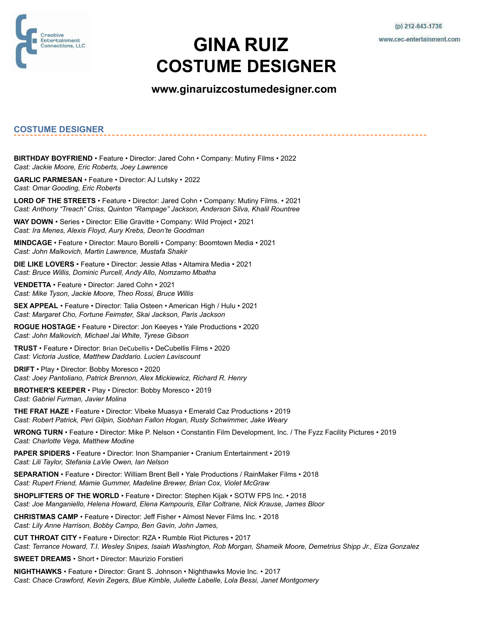

## **GINA RUIZ COSTUME DESIGNER**

## **[www.ginaruizcostumedesigner.com](http://www.ginaruizcostumedesigner.com/)**

## **COSTUME DESIGNER**

**BIRTHDAY BOYFRIEND** • Feature • Director: Jared Cohn • Company: Mutiny Films • 2022 *Cast: Jackie Moore, Eric Roberts, Joey Lawrence*

**GARLIC PARMESAN** • Feature • Director: AJ Lutsky • 2022 *Cast: Omar Gooding, Eric Roberts*

**LORD OF THE STREETS** • Feature • Director: Jared Cohn • Company: Mutiny Films. • 2021 *Cast: Anthony "Treach" Criss, Quinton "Rampage" Jackson, Anderson Silva, Khalil Rountree*

**WAY DOWN** • Series • Director: Ellie Gravitte • Company: Wild Project • 2021 *Cast: Ira Menes, Alexis Floyd, Aury Krebs, Deon'te Goodman*

**MINDCAGE** • Feature • Director: Mauro Borelli • Company: Boomtown Media • 2021 *Cast: John Malkovich, Martin Lawrence, Mustafa Shakir*

**DIE LIKE LOVERS** • Feature • Director: Jessie Atlas • Altamira Media • 2021 *Cast: Bruce Willis, Dominic Purcell, Andy Allo, Nomzamo Mbatha*

**VENDETTA** • Feature • Director: Jared Cohn • 2021 *Cast: Mike Tyson, Jackie Moore, Theo Rossi, Bruce Willis*

**SEX APPEAL** • Feature • Director: Talia Osteen • American High / Hulu • 2021 *Cast: Margaret Cho, Fortune Feimster, Skai Jackson, Paris Jackson*

**ROGUE HOSTAGE** • Feature • Director: Jon Keeyes • Yale Productions • 2020 *Cast: John Malkovich, Michael Jai White, Tyrese Gibson*

**TRUST** • Feature • Director: Brian DeCubellis • DeCubellis Films • 2020 *Cast: Victoria Justice, Matthew Daddario. Lucien Laviscount*

**DRIFT** • Play • Director: Bobby Moresco • 2020 *Cast: Joey Pantoliano, Patrick Brennon, Alex Mickiewicz, Richard R. Henry*

**BROTHER'S KEEPER** • Play • Director: Bobby Moresco • 2019 *Cast: Gabriel Furman, Javier Molina*

**THE FRAT HAZE** • Feature • Director: Vibeke Muasya • Emerald Caz Productions • 2019 *Cast: Robert Patrick, Peri Gilpin, Siobhan Fallon Hogan, Rusty Schwimmer, Jake Weary*

**WRONG TURN** • Feature • Director: Mike P. Nelson • Constantin Film Development, Inc. / The Fyzz Facility Pictures • 2019 *Cast: Charlotte Vega, Matthew Modine*

**PAPER SPIDERS** • Feature • Director: Inon Shampanier • Cranium Entertainment • 2019 *Cast: Lili Taylor, Stefania LaVie Owen, Ian Nelson*

**SEPARATION** • Feature • Director: William Brent Bell • Yale Productions / RainMaker Films • 2018 *Cast: Rupert Friend, Mamie Gummer, Madeline Brewer, Brian Cox, Violet McGraw*

**SHOPLIFTERS OF THE WORLD** • Feature • Director: Stephen Kijak • SOTW FPS Inc. • 2018 *Cast: Joe Manganiello, Helena Howard, Elena Kampouris, Ellar Coltrane, Nick Krause, James Bloor*

**CHRISTMAS CAMP** • Feature • Director: Jeff Fisher • Almost Never Films Inc. • 2018 *Cast: Lily Anne Harrison, Bobby Campo, Ben Gavin, John James,*

**CUT THROAT CITY** • Feature • Director: RZA • Rumble Riot Pictures • 2017 *Cast: Terrance Howard, T.I. Wesley Snipes, Isaiah Washington, Rob Morgan, Shameik Moore, Demetrius Shipp Jr., Eiza Gonzalez*

**SWEET DREAMS** • Short • Director: Maurizio Forstieri

**NIGHTHAWKS** • Feature • Director: Grant S. Johnson • Nighthawks Movie Inc. • 2017 *Cast: Chace Crawford, Kevin Zegers, Blue Kimble, Juliette Labelle, Lola Bessi, Janet Montgomery*